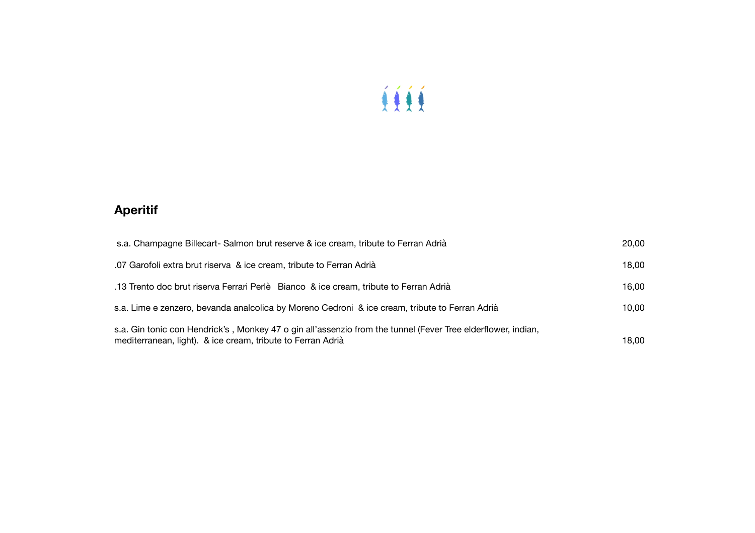

# **Aperitif**

| s.a. Champagne Billecart- Salmon brut reserve & ice cream, tribute to Ferran Adrià                                                                                          | 20,00 |
|-----------------------------------------------------------------------------------------------------------------------------------------------------------------------------|-------|
| .07 Garofoli extra brut riserva & ice cream, tribute to Ferran Adrià                                                                                                        | 18.00 |
| .13 Trento doc brut riserva Ferrari Perlè Bianco & ice cream, tribute to Ferran Adrià                                                                                       | 16.00 |
| s.a. Lime e zenzero, bevanda analcolica by Moreno Cedroni & ice cream, tribute to Ferran Adrià                                                                              | 10.00 |
| s.a. Gin tonic con Hendrick's, Monkey 47 o gin all'assenzio from the tunnel (Fever Tree elderflower, indian,<br>mediterranean, light). & ice cream, tribute to Ferran Adrià | 18.00 |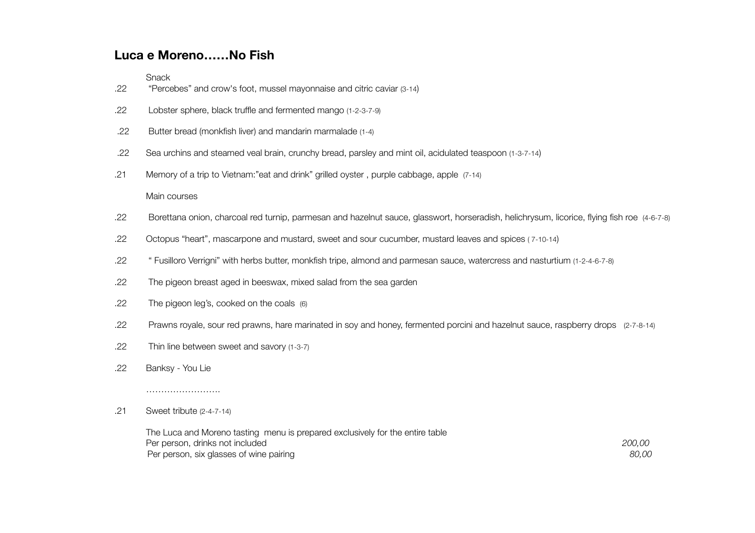### **Luca e Moreno……No Fish**

Snack

- .22 "Percebes" and crow's foot, mussel mayonnaise and citric caviar (3-14)
- .22 Lobster sphere, black truffle and fermented mango (1-2-3-7-9)
- .22 Butter bread (monkfish liver) and mandarin marmalade (1-4)
- .22 Sea urchins and steamed veal brain, crunchy bread, parsley and mint oil, acidulated teaspoon (1-3-7-14)
- .21 Memory of a trip to Vietnam:"eat and drink" grilled oyster , purple cabbage, apple (7-14)

#### Main courses

- .22 Borettana onion, charcoal red turnip, parmesan and hazelnut sauce, glasswort, horseradish, helichrysum, licorice, flying fish roe (4-6-7-8)
- .22 Octopus "heart", mascarpone and mustard, sweet and sour cucumber, mustard leaves and spices ( 7-10-14)
- .22 " Fusilloro Verrigni" with herbs butter, monkfish tripe, almond and parmesan sauce, watercress and nasturtium (1-2-4-6-7-8)
- .22 The pigeon breast aged in beeswax, mixed salad from the sea garden
- .22 The pigeon leg's, cooked on the coals (6)
- .22 Prawns royale, sour red prawns, hare marinated in soy and honey, fermented porcini and hazelnut sauce, raspberry drops (2-7-8-14)
- .22 Thin line between sweet and savory (1-3-7)
- .22 Banksy You Lie

#### .21 Sweet tribute (2-4-7-14)

…………………….

| The Luca and Moreno tasting menu is prepared exclusively for the entire table |        |
|-------------------------------------------------------------------------------|--------|
| Per person, drinks not included                                               | 200.00 |
| Per person, six glasses of wine pairing                                       | 80,00  |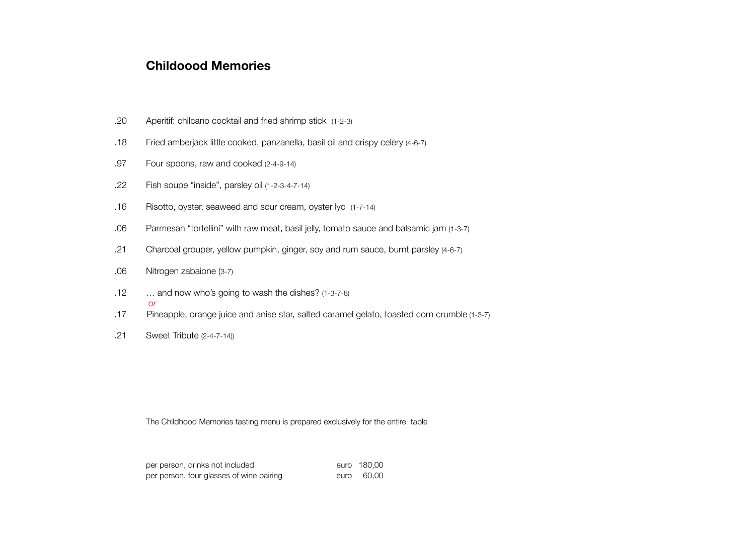### **Childoood Memories**

- .20 Aperitif: chilcano cocktail and fried shrimp stick (1-2-3)
- .18 Fried amberjack little cooked, panzanella, basil oil and crispy celery (4-6-7)
- .97 Four spoons, raw and cooked (2-4-9-14)
- .22 Fish soupe "inside", parsley oil (1-2-3-4-7-14)
- .16 Risotto, oyster, seaweed and sour cream, oyster lyo (1-7-14)
- .06 Parmesan "tortellini" with raw meat, basil jelly, tomato sauce and balsamic jam (1-3-7)
- .21 Charcoal grouper, yellow pumpkin, ginger, soy and rum sauce, burnt parsley (4-6-7)
- .06 Nitrogen zabaione (3-7)
- .12 … and now who's going to wash the dishes? (1-3-7-8) *or*
- .17 Pineapple, orange juice and anise star, salted caramel gelato, toasted corn crumble (1-3-7)
- .21 Sweet Tribute (2-4-7-14))

The Childhood Memories tasting menu is prepared exclusively for the entire table

| per person, drinks not included          |      | euro 180.00 |
|------------------------------------------|------|-------------|
| per person, four glasses of wine pairing | euro | 60.00       |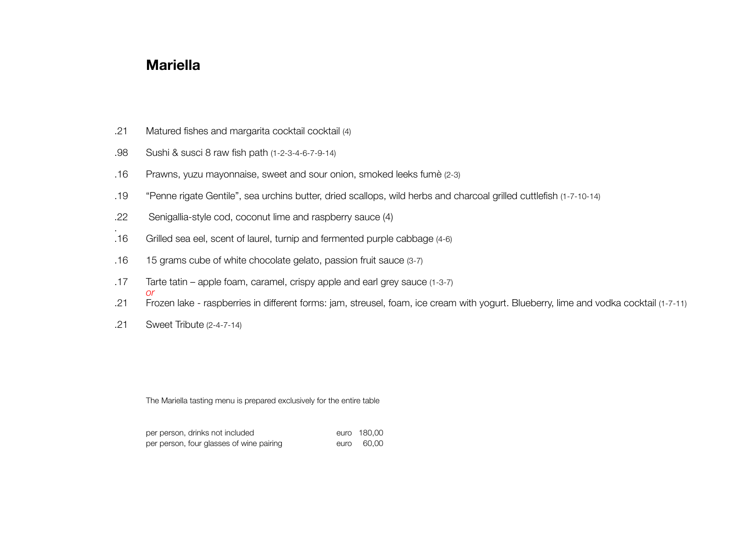## **Mariella**

- .21 Matured fishes and margarita cocktail cocktail (4)
- .98 Sushi & susci 8 raw fish path (1-2-3-4-6-7-9-14)
- .16 Prawns, yuzu mayonnaise, sweet and sour onion, smoked leeks fumè (2-3)
- .19 "Penne rigate Gentile", sea urchins butter, dried scallops, wild herbs and charcoal grilled cuttlefish (1-7-10-14)
- .22 Senigallia-style cod, coconut lime and raspberry sauce (4)
- . .16 Grilled sea eel, scent of laurel, turnip and fermented purple cabbage (4-6)
- .16 15 grams cube of white chocolate gelato, passion fruit sauce (3-7)
- .17 Tarte tatin apple foam, caramel, crispy apple and earl grey sauce (1-3-7) *or*
- .21 Frozen lake raspberries in different forms: jam, streusel, foam, ice cream with yogurt. Blueberry, lime and vodka cocktail (1-7-11)
- .21 Sweet Tribute (2-4-7-14)

The Mariella tasting menu is prepared exclusively for the entire table

| per person, drinks not included          |      | euro 180.00 |
|------------------------------------------|------|-------------|
| per person, four glasses of wine pairing | euro | 60.00       |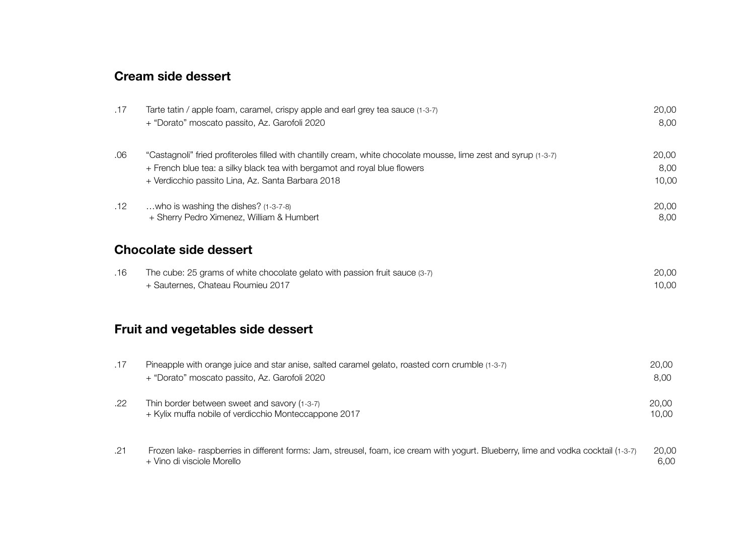## **Cream side dessert**

| .17 | Tarte tatin / apple foam, caramel, crispy apple and earl grey tea sauce (1-3-7)<br>+ "Dorato" moscato passito, Az. Garofoli 2020                                                                                                                   | 20,00<br>8,00          |
|-----|----------------------------------------------------------------------------------------------------------------------------------------------------------------------------------------------------------------------------------------------------|------------------------|
| .06 | "Castagnoli" fried profiteroles filled with chantilly cream, white chocolate mousse, lime zest and syrup (1-3-7)<br>+ French blue tea: a silky black tea with bergamot and royal blue flowers<br>+ Verdicchio passito Lina, Az. Santa Barbara 2018 | 20,00<br>8,00<br>10,00 |
| .12 | who is washing the dishes? (1-3-7-8)<br>+ Sherry Pedro Ximenez, William & Humbert                                                                                                                                                                  | 20,00<br>8,00          |
|     | <b>Chocolate side dessert</b>                                                                                                                                                                                                                      |                        |
| .16 | The cube: 25 grams of white chocolate gelato with passion fruit sauce (3-7)<br>+ Sauternes, Chateau Roumieu 2017                                                                                                                                   | 20,00<br>10,00         |
|     | <b>Fruit and vegetables side dessert</b>                                                                                                                                                                                                           |                        |
| .17 | Pineapple with orange juice and star anise, salted caramel gelato, roasted corn crumble (1-3-7)<br>+ "Dorato" moscato passito, Az. Garofoli 2020                                                                                                   | 20,00<br>8,00          |
| .22 | Thin border between sweet and savory (1-3-7)<br>+ Kylix muffa nobile of verdicchio Monteccappone 2017                                                                                                                                              | 20,00<br>10,00         |
| .21 | Frozen lake- raspberries in different forms: Jam, streusel, foam, ice cream with yogurt. Blueberry, lime and vodka cocktail (1-3-7)<br>+ Vino di visciole Morello                                                                                  | 20,00<br>6,00          |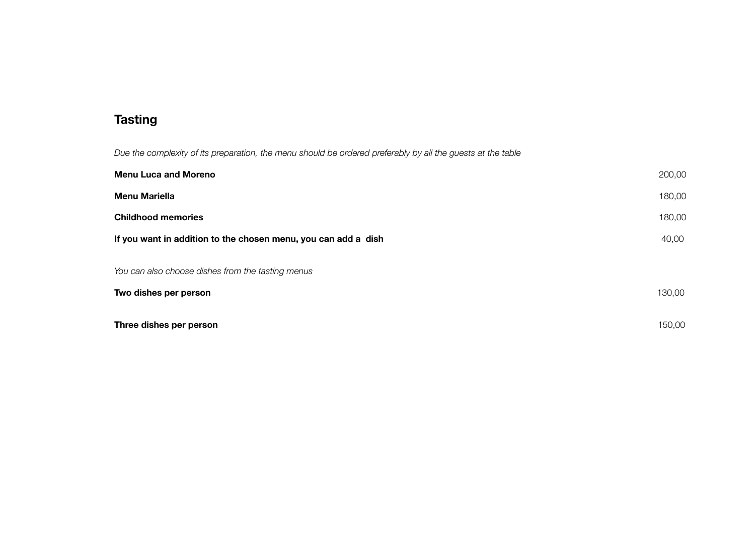## **Tasting**

*Due the complexity of its preparation, the menu should be ordered preferably by all the guests at the table*

| <b>Menu Luca and Moreno</b>                                    |        |
|----------------------------------------------------------------|--------|
| <b>Menu Mariella</b>                                           | 180,00 |
| <b>Childhood memories</b>                                      |        |
| If you want in addition to the chosen menu, you can add a dish |        |
| You can also choose dishes from the tasting menus              |        |
| Two dishes per person                                          | 130,00 |
| Three dishes per person                                        | 150,00 |